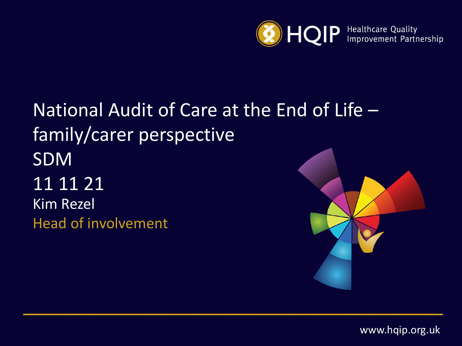

# National Audit of Care at the End of Life – family/carer perspective SDM 11 11 21 Kim Rezel Head of involvement



www.hqip.org.uk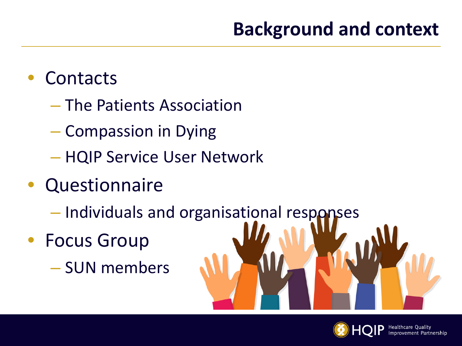# **Background and context**

# • Contacts

- The Patients Association
- Compassion in Dying
- HQIP Service User Network
- Questionnaire
	- Individuals and organisational responses
- Focus Group
	- SUN members



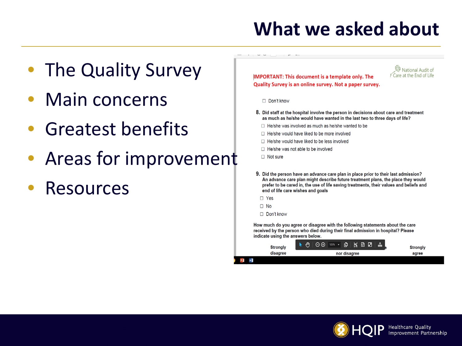# **What we asked about**

- The Quality Survey
- Main concerns
- Greatest benefits
- Areas for improvement
- **Resources**

**IMPORTANT: This document is a template only. The** Quality Survey is an online survey. Not a paper survey.



□ Don't know

- 8. Did staff at the hospital involve the person in decisions about care and treatment as much as he/she would have wanted in the last two to three days of life?
	- $\Box$  He/she was involved as much as he/she wanted to be
	- □ He/she would have liked to be more involved
	- □ He/she would have liked to be less involved
	- $\Box$  He/she was not able to be involved
	- $\Box$  Not sure
- 9. Did the person have an advance care plan in place prior to their last admission? An advance care plan might describe future treatment plans, the place they would prefer to be cared in, the use of life saving treatments, their values and beliefs and end of life care wishes and goals
- $\square$  Yes

 $\Box$  No

Don't know

How much do you agree or disagree with the following statements about the care received by the person who died during their final admission in hospital? Please indicate using the answers below.

| <b>Strongly</b> | 125% · 凸<br>⊝⊕<br>  F & &<br>$\pm$ | <b>Strongly</b> |
|-----------------|------------------------------------|-----------------|
| disagree        | nor disagree                       | agree           |
| ×ļ              |                                    |                 |

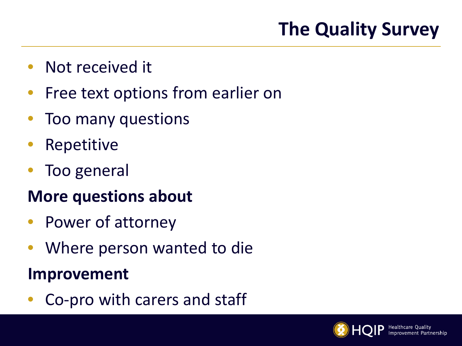# **The Quality Survey**

- Not received it
- Free text options from earlier on
- Too many questions
- **Repetitive**
- Too general

## **More questions about**

- Power of attorney
- Where person wanted to die

#### **Improvement**

• Co-pro with carers and staff

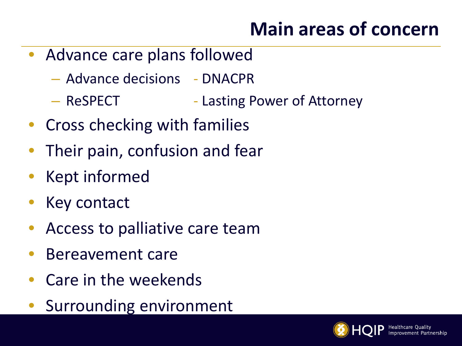# **Main areas of concern**

- Advance care plans followed
	- Advance decisions DNACPR
	- ReSPECT Lasting Power of Attorney
- Cross checking with families
- Their pain, confusion and fear
- Kept informed
- Key contact
- Access to palliative care team
- Bereavement care
- Care in the weekends
- Surrounding environment

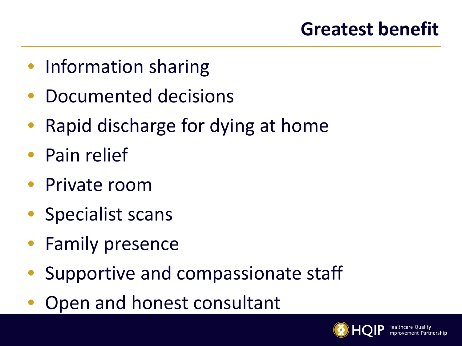- Information sharing
- Documented decisions
- Rapid discharge for dying at home
- Pain relief
- Private room
- Specialist scans
- Family presence
- Supportive and compassionate staff
- Open and honest consultant

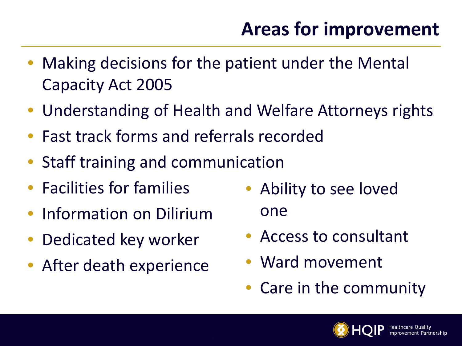- Making decisions for the patient under the Mental Capacity Act 2005
- Understanding of Health and Welfare Attorneys rights
- Fast track forms and referrals recorded
- Staff training and communication
- Facilities for families
- Information on Dilirium
- Dedicated key worker
- After death experience
- Ability to see loved one
- Access to consultant
- Ward movement
- Care in the community

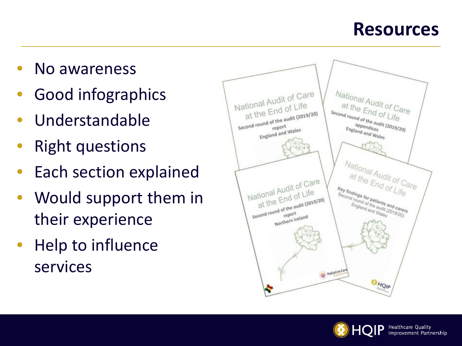#### **Resources**

- No awareness
- Good infographics
- Understandable
- **Right questions**
- **Each section explained**
- Would support them in their experience
- Help to influence services



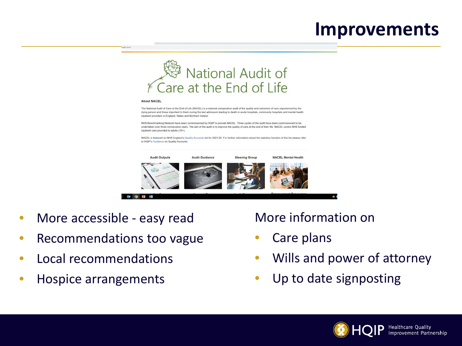#### **Improvements**



#### **About NACEL**

uk/nacel

The National Audit of Care at the End of Life (NACEL) is a national comparative audit of the quality and outcomes of care experienced by the dying person and those important to them during the last admission leading to death in acute hospitals, community hospitals and mental health inpatient providers in England. Wales and Northern Ireland

NHS Benchmarking Network have been commissioned by HQIP to provide NACEL. Three cycles of the audit have been commissioned to be undertaken over three consecutive years. The aim of the audit is to improve the quality of care at the end of their life. NACEL covers NHS funded inpatient care provided to adults (18+).

NACEL is featured on NHS England's Quality Accounts list for 2021/22. For further information about the statutory function of this list please refer to HQIP's Guidance on Quality Accounts.



- More accessible easy read
- Recommendations too vague
- Local recommendations
- Hospice arrangements

#### More information on

- Care plans
- Wills and power of attorney
- Up to date signposting